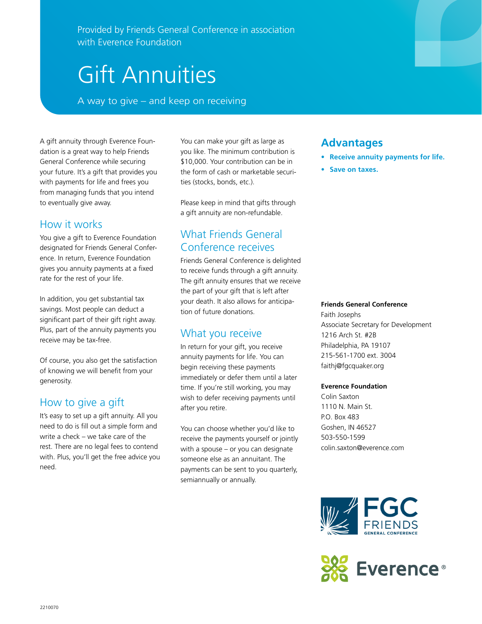Provided by Friends General Conference in association with Everence Foundation

# Gift Annuities

A way to give – and keep on receiving

A gift annuity through Everence Foundation is a great way to help Friends General Conference while securing your future. It's a gift that provides you with payments for life and frees you from managing funds that you intend to eventually give away.

## How it works

You give a gift to Everence Foundation designated for Friends General Conference. In return, Everence Foundation gives you annuity payments at a fixed rate for the rest of your life.

In addition, you get substantial tax savings. Most people can deduct a significant part of their gift right away. Plus, part of the annuity payments you receive may be tax-free.

Of course, you also get the satisfaction of knowing we will benefit from your generosity.

#### How to give a gift

It's easy to set up a gift annuity. All you need to do is fill out a simple form and write a check – we take care of the rest. There are no legal fees to contend with. Plus, you'll get the free advice you need.

You can make your gift as large as you like. The minimum contribution is \$10,000. Your contribution can be in the form of cash or marketable securities (stocks, bonds, etc.).

Please keep in mind that gifts through a gift annuity are non-refundable.

# What Friends General Conference receives

Friends General Conference is delighted to receive funds through a gift annuity. The gift annuity ensures that we receive the part of your gift that is left after your death. It also allows for anticipation of future donations.

#### What you receive

In return for your gift, you receive annuity payments for life. You can begin receiving these payments immediately or defer them until a later time. If you're still working, you may wish to defer receiving payments until after you retire.

You can choose whether you'd like to receive the payments yourself or jointly with a spouse – or you can designate someone else as an annuitant. The payments can be sent to you quarterly, semiannually or annually.

## **Advantages**

- **• Receive annuity payments for life.**
- **• Save on taxes.**

#### **Friends General Conference**

Faith Josephs Associate Secretary for Development 1216 Arch St. #2B Philadelphia, PA 19107 215-561-1700 ext. 3004 faithj@fgcquaker.org

#### **Everence Foundation**

Colin Saxton 1110 N. Main St. P.O. Box 483 Goshen, IN 46527 503-550-1599 colin.saxton@everence.com